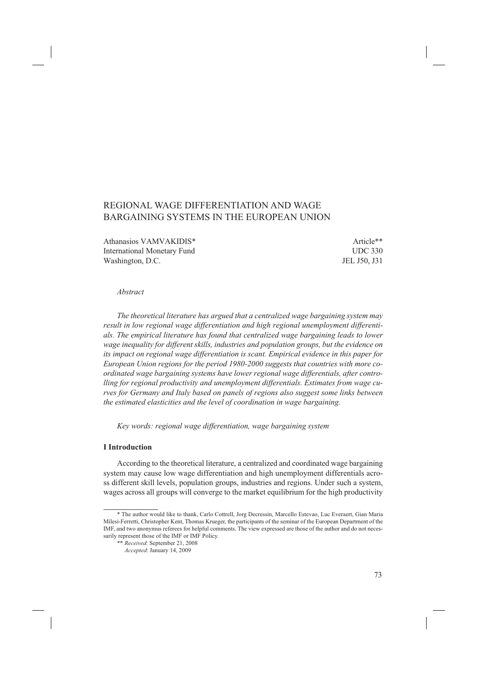# REGIONAL WAGE DIFFERENTIATION AND WAGE BARGAINING SYSTEMS IN THE EUROPEAN UNION

Athanasios VAMVAKIDIS\* and a series of the series of the series of the series of the series of the series of the series of the series of the series of the series of the series of the series of the series of the series of t International Monetary Fund UDC 330 Washington, D.C. JEL J50, J31

#### *Abstract*

*The theoretical literature has argued that a centralized wage bargaining system may result in low regional wage differentiation and high regional unemployment differentials. The empirical literature has found that centralized wage bargaining leads to lower wage inequality for different skills, industries and population groups, but the evidence on its impact on regional wage differentiation is scant. Empirical evidence in this paper for European Union regions for the period 1980-2000 suggests that countries with more coordinated wage bargaining systems have lower regional wage differentials, after controlling for regional productivity and unemployment differentials. Estimates from wage curves for Germany and Italy based on panels of regions also suggest some links between the estimated elasticities and the level of coordination in wage bargaining.*

*Key words: regional wage differentiation, wage bargaining system*

#### **I Introduction**

According to the theoretical literature, a centralized and coordinated wage bargaining system may cause low wage differentiation and high unemployment differentials across different skill levels, population groups, industries and regions. Under such a system, wages across all groups will converge to the market equilibrium for the high productivity

<sup>\*</sup> The author would like to thank, Carlo Cottrell, Jorg Decressin, Marcello Estevao, Luc Everaert, Gian Maria Milesi-Ferretti, Christopher Kent, Thomas Krueger, the participants of the seminar of the European Department of the IMF, and two anonymus referees for helpful comments. The view expressed are those of the author and do not necessarily represent those of the IMF or IMF Policy.

<sup>\*\*</sup> *Received*: September 21, 2008

*Accepted*: January 14, 2009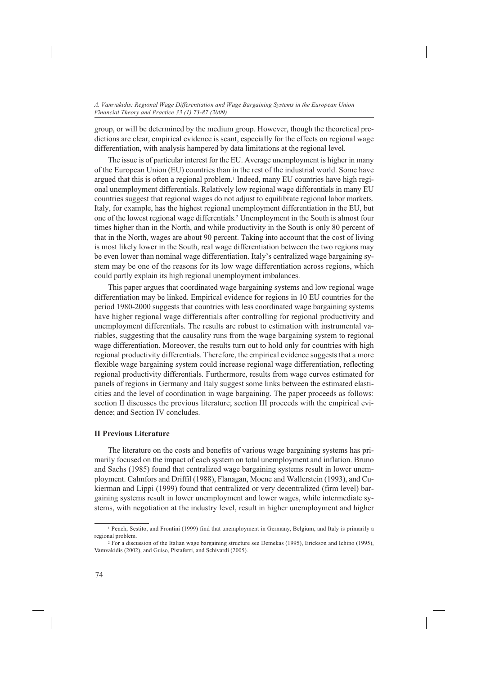group, or will be determined by the medium group. However, though the theoretical predictions are clear, empirical evidence is scant, especially for the effects on regional wage differentiation, with analysis hampered by data limitations at the regional level.

The issue is of particular interest for the EU. Average unemployment is higher in many of the European Union (EU) countries than in the rest of the industrial world. Some have argued that this is often a regional problem.<sup>1</sup> Indeed, many EU countries have high regional unemployment differentials. Relatively low regional wage differentials in many EU countries suggest that regional wages do not adjust to equilibrate regional labor markets. Italy, for example, has the highest regional unemployment differentiation in the EU, but one of the lowest regional wage differentials.2 Unemployment in the South is almost four times higher than in the North, and while productivity in the South is only 80 percent of that in the North, wages are about 90 percent. Taking into account that the cost of living is most likely lower in the South, real wage differentiation between the two regions may be even lower than nominal wage differentiation. Italy's centralized wage bargaining system may be one of the reasons for its low wage differentiation across regions, which could partly explain its high regional unemployment imbalances.

This paper argues that coordinated wage bargaining systems and low regional wage differentiation may be linked. Empirical evidence for regions in 10 EU countries for the period 1980-2000 suggests that countries with less coordinated wage bargaining systems have higher regional wage differentials after controlling for regional productivity and unemployment differentials. The results are robust to estimation with instrumental variables, suggesting that the causality runs from the wage bargaining system to regional wage differentiation. Moreover, the results turn out to hold only for countries with high regional productivity differentials. Therefore, the empirical evidence suggests that a more flexible wage bargaining system could increase regional wage differentiation, reflecting regional productivity differentials. Furthermore, results from wage curves estimated for panels of regions in Germany and Italy suggest some links between the estimated elasticities and the level of coordination in wage bargaining. The paper proceeds as follows: section II discusses the previous literature; section III proceeds with the empirical evidence; and Section IV concludes.

#### **II Previous Literature**

The literature on the costs and benefits of various wage bargaining systems has primarily focused on the impact of each system on total unemployment and inflation. Bruno and Sachs (1985) found that centralized wage bargaining systems result in lower unemployment. Calmfors and Driffil (1988), Flanagan, Moene and Wallerstein (1993), and Cukierman and Lippi (1999) found that centralized or very decentralized (firm level) bargaining systems result in lower unemployment and lower wages, while intermediate systems, with negotiation at the industry level, result in higher unemployment and higher

<sup>1</sup> Pench, Sestito, and Frontini (1999) find that unemployment in Germany, Belgium, and Italy is primarily a regional problem.

<sup>2</sup> For a discussion of the Italian wage bargaining structure see Demekas (1995), Erickson and Ichino (1995), Vamvakidis (2002), and Guiso, Pistaferri, and Schivardi (2005).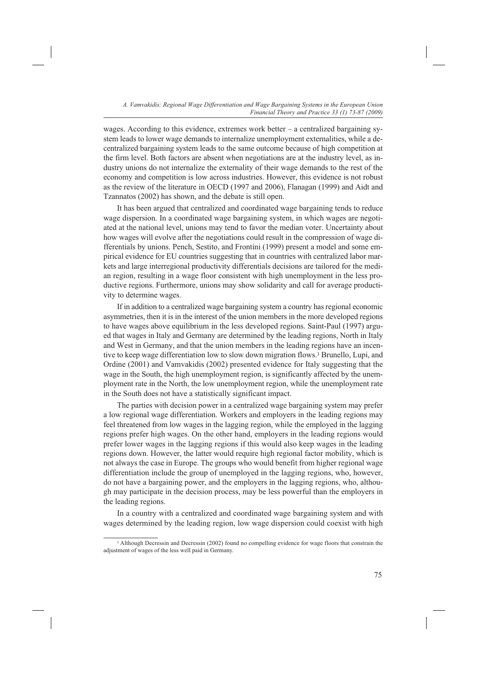wages. According to this evidence, extremes work better – a centralized bargaining system leads to lower wage demands to internalize unemployment externalities, while a decentralized bargaining system leads to the same outcome because of high competition at the firm level. Both factors are absent when negotiations are at the industry level, as industry unions do not internalize the externality of their wage demands to the rest of the economy and competition is low across industries. However, this evidence is not robust as the review of the literature in OECD (1997 and 2006), Flanagan (1999) and Aidt and Tzannatos (2002) has shown, and the debate is still open.

It has been argued that centralized and coordinated wage bargaining tends to reduce wage dispersion. In a coordinated wage bargaining system, in which wages are negotiated at the national level, unions may tend to favor the median voter. Uncertainty about how wages will evolve after the negotiations could result in the compression of wage differentials by unions. Pench, Sestito, and Frontini (1999) present a model and some empirical evidence for EU countries suggesting that in countries with centralized labor markets and large interregional productivity differentials decisions are tailored for the median region, resulting in a wage floor consistent with high unemployment in the less productive regions. Furthermore, unions may show solidarity and call for average productivity to determine wages.

If in addition to a centralized wage bargaining system a country has regional economic asymmetries, then it is in the interest of the union members in the more developed regions to have wages above equilibrium in the less developed regions. Saint-Paul (1997) argued that wages in Italy and Germany are determined by the leading regions, North in Italy and West in Germany, and that the union members in the leading regions have an incentive to keep wage differentiation low to slow down migration flows.3 Brunello, Lupi, and Ordine (2001) and Vamvakidis (2002) presented evidence for Italy suggesting that the wage in the South, the high unemployment region, is significantly affected by the unemployment rate in the North, the low unemployment region, while the unemployment rate in the South does not have a statistically significant impact.

The parties with decision power in a centralized wage bargaining system may prefer a low regional wage differentiation. Workers and employers in the leading regions may feel threatened from low wages in the lagging region, while the employed in the lagging regions prefer high wages. On the other hand, employers in the leading regions would prefer lower wages in the lagging regions if this would also keep wages in the leading regions down. However, the latter would require high regional factor mobility, which is not always the case in Europe. The groups who would benefit from higher regional wage differentiation include the group of unemployed in the lagging regions, who, however, do not have a bargaining power, and the employers in the lagging regions, who, although may participate in the decision process, may be less powerful than the employers in the leading regions.

In a country with a centralized and coordinated wage bargaining system and with wages determined by the leading region, low wage dispersion could coexist with high

<sup>&</sup>lt;sup>3</sup> Although Decressin and Decressin (2002) found no compelling evidence for wage floors that constrain the adjustment of wages of the less well paid in Germany.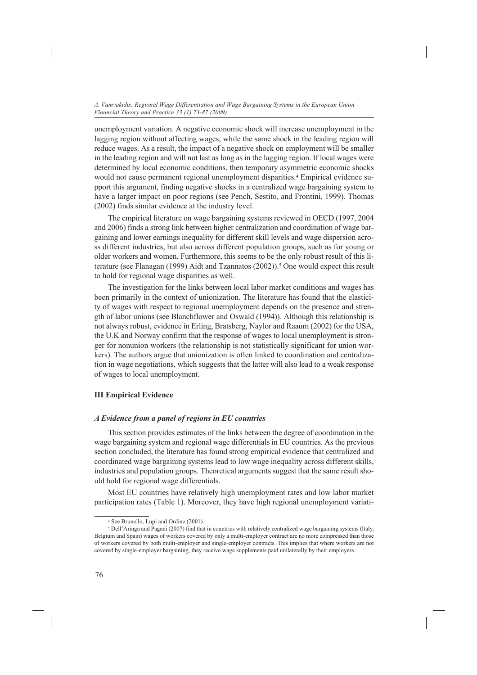unemployment variation. A negative economic shock will increase unemployment in the lagging region without affecting wages, while the same shock in the leading region will reduce wages. As a result, the impact of a negative shock on employment will be smaller in the leading region and will not last as long as in the lagging region. If local wages were determined by local economic conditions, then temporary asymmetric economic shocks would not cause permanent regional unemployment disparities.4 Empirical evidence support this argument, finding negative shocks in a centralized wage bargaining system to have a larger impact on poor regions (see Pench, Sestito, and Frontini, 1999). Thomas (2002) finds similar evidence at the industry level.

The empirical literature on wage bargaining systems reviewed in OECD (1997, 2004 and 2006) finds a strong link between higher centralization and coordination of wage bargaining and lower earnings inequality for different skill levels and wage dispersion across different industries, but also across different population groups, such as for young or older workers and women. Furthermore, this seems to be the only robust result of this literature (see Flanagan (1999) Aidt and Tzannatos (2002)).5 One would expect this result to hold for regional wage disparities as well.

The investigation for the links between local labor market conditions and wages has been primarily in the context of unionization. The literature has found that the elasticity of wages with respect to regional unemployment depends on the presence and strength of labor unions (see Blanchflower and Oswald (1994)). Although this relationship is not always robust, evidence in Erling, Bratsberg, Naylor and Raaum (2002) for the USA, the U.K and Norway confirm that the response of wages to local unemployment is stronger for nonunion workers (the relationship is not statistically significant for union workers). The authors argue that unionization is often linked to coordination and centralization in wage negotiations, which suggests that the latter will also lead to a weak response of wages to local unemployment.

## **III Empirical Evidence**

## *A Evidence from a panel of regions in EU countries*

This section provides estimates of the links between the degree of coordination in the wage bargaining system and regional wage differentials in EU countries. As the previous section concluded, the literature has found strong empirical evidence that centralized and coordinated wage bargaining systems lead to low wage inequality across different skills, industries and population groups. Theoretical arguments suggest that the same result should hold for regional wage differentials.

Most EU countries have relatively high unemployment rates and low labor market participation rates (Table 1). Moreover, they have high regional unemployment variati-

<sup>4</sup> See Brunello, Lupi and Ordine (2001).

<sup>5</sup> Dell'Aringa and Pagani (2007) find that in countries with relatively centralized wage bargaining systems (Italy, Belgium and Spain) wages of workers covered by only a multi-employer contract are no more compressed than those of workers covered by both multi-employer and single-employer contracts. This implies that where workers are not covered by single-employer bargaining, they receive wage supplements paid unilaterally by their employers.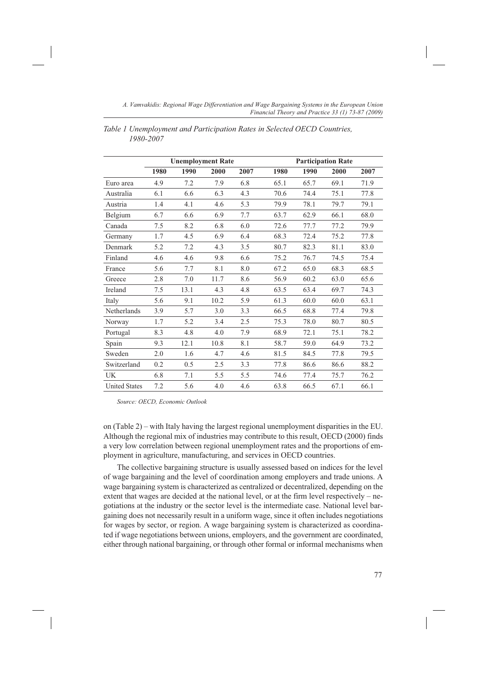|                      |      | <b>Unemployment Rate</b> |      |      | <b>Participation Rate</b> |      |      |      |
|----------------------|------|--------------------------|------|------|---------------------------|------|------|------|
|                      | 1980 | 1990                     | 2000 | 2007 | 1980                      | 1990 | 2000 | 2007 |
| Euro area            | 4.9  | 7.2                      | 7.9  | 6.8  | 65.1                      | 65.7 | 69.1 | 71.9 |
| Australia            | 6.1  | 6.6                      | 6.3  | 4.3  | 70.6                      | 74.4 | 75.1 | 77.8 |
| Austria              | 1.4  | 4.1                      | 4.6  | 5.3  | 79.9                      | 78.1 | 79.7 | 79.1 |
| Belgium              | 6.7  | 6.6                      | 6.9  | 7.7  | 63.7                      | 62.9 | 66.1 | 68.0 |
| Canada               | 7.5  | 8.2                      | 6.8  | 6.0  | 72.6                      | 77.7 | 77.2 | 79.9 |
| Germany              | 1.7  | 4.5                      | 6.9  | 6.4  | 68.3                      | 72.4 | 75.2 | 77.8 |
| Denmark              | 5.2  | 7.2                      | 4.3  | 3.5  | 80.7                      | 82.3 | 81.1 | 83.0 |
| Finland              | 4.6  | 4.6                      | 9.8  | 6.6  | 75.2                      | 76.7 | 74.5 | 75.4 |
| France               | 5.6  | 7.7                      | 8.1  | 8.0  | 67.2                      | 65.0 | 68.3 | 68.5 |
| Greece               | 2.8  | 7.0                      | 11.7 | 8.6  | 56.9                      | 60.2 | 63.0 | 65.6 |
| Ireland              | 7.5  | 13.1                     | 4.3  | 4.8  | 63.5                      | 63.4 | 69.7 | 74.3 |
| Italy                | 5.6  | 9.1                      | 10.2 | 5.9  | 61.3                      | 60.0 | 60.0 | 63.1 |
| Netherlands          | 3.9  | 5.7                      | 3.0  | 3.3  | 66.5                      | 68.8 | 77.4 | 79.8 |
| Norway               | 1.7  | 5.2                      | 3.4  | 2.5  | 75.3                      | 78.0 | 80.7 | 80.5 |
| Portugal             | 8.3  | 4.8                      | 4.0  | 7.9  | 68.9                      | 72.1 | 75.1 | 78.2 |
| Spain                | 9.3  | 12.1                     | 10.8 | 8.1  | 58.7                      | 59.0 | 64.9 | 73.2 |
| Sweden               | 2.0  | 1.6                      | 4.7  | 4.6  | 81.5                      | 84.5 | 77.8 | 79.5 |
| Switzerland          | 0.2  | 0.5                      | 2.5  | 3.3  | 77.8                      | 86.6 | 86.6 | 88.2 |
| UK                   | 6.8  | 7.1                      | 5.5  | 5.5  | 74.6                      | 77.4 | 75.7 | 76.2 |
| <b>United States</b> | 7.2  | 5.6                      | 4.0  | 4.6  | 63.8                      | 66.5 | 67.1 | 66.1 |

*Table 1 Unemployment and Participation Rates in Selected OECD Countries, 1980-2007*

*Source: OECD, Economic Outlook*

on (Table 2) – with Italy having the largest regional unemployment disparities in the EU. Although the regional mix of industries may contribute to this result, OECD (2000) finds a very low correlation between regional unemployment rates and the proportions of employment in agriculture, manufacturing, and services in OECD countries.

The collective bargaining structure is usually assessed based on indices for the level of wage bargaining and the level of coordination among employers and trade unions. A wage bargaining system is characterized as centralized or decentralized, depending on the extent that wages are decided at the national level, or at the firm level respectively – negotiations at the industry or the sector level is the intermediate case. National level bargaining does not necessarily result in a uniform wage, since it often includes negotiations for wages by sector, or region. A wage bargaining system is characterized as coordinated if wage negotiations between unions, employers, and the government are coordinated, either through national bargaining, or through other formal or informal mechanisms when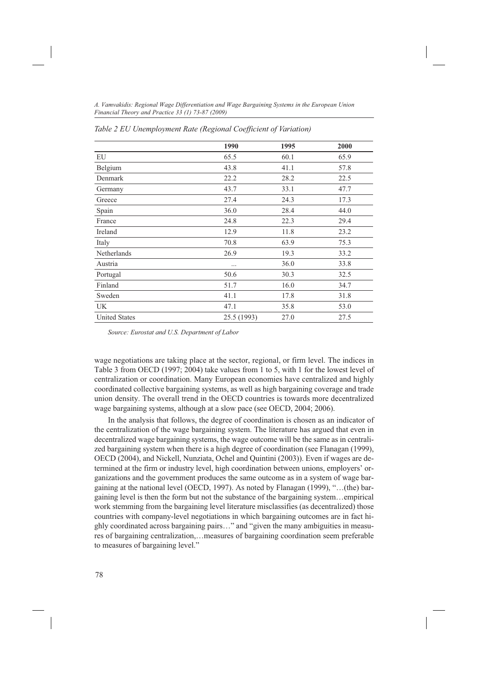|                      | 1990        | 1995 | 2000 |
|----------------------|-------------|------|------|
| EU                   | 65.5        | 60.1 | 65.9 |
| Belgium              | 43.8        | 41.1 | 57.8 |
| Denmark              | 22.2        | 28.2 | 22.5 |
| Germany              | 43.7        | 33.1 | 47.7 |
| Greece               | 27.4        | 24.3 | 17.3 |
| Spain                | 36.0        | 28.4 | 44.0 |
| France               | 24.8        | 22.3 | 29.4 |
| Ireland              | 12.9        | 11.8 | 23.2 |
| Italy                | 70.8        | 63.9 | 75.3 |
| Netherlands          | 26.9        | 19.3 | 33.2 |
| Austria              |             | 36.0 | 33.8 |
| Portugal             | 50.6        | 30.3 | 32.5 |
| Finland              | 51.7        | 16.0 | 34.7 |
| Sweden               | 41.1        | 17.8 | 31.8 |
| UK                   | 47.1        | 35.8 | 53.0 |
| <b>United States</b> | 25.5 (1993) | 27.0 | 27.5 |

*Table 2 EU Unemployment Rate (Regional Coefficient of Variation)*

*Source: Eurostat and U.S. Department of Labor*

wage negotiations are taking place at the sector, regional, or firm level. The indices in Table 3 from OECD (1997; 2004) take values from 1 to 5, with 1 for the lowest level of centralization or coordination. Many European economies have centralized and highly coordinated collective bargaining systems, as well as high bargaining coverage and trade union density. The overall trend in the OECD countries is towards more decentralized wage bargaining systems, although at a slow pace (see OECD, 2004; 2006).

In the analysis that follows, the degree of coordination is chosen as an indicator of the centralization of the wage bargaining system. The literature has argued that even in decentralized wage bargaining systems, the wage outcome will be the same as in centralized bargaining system when there is a high degree of coordination (see Flanagan (1999), OECD (2004), and Nickell, Nunziata, Ochel and Quintini (2003)). Even if wages are determined at the firm or industry level, high coordination between unions, employers' organizations and the government produces the same outcome as in a system of wage bargaining at the national level (OECD, 1997). As noted by Flanagan (1999), "…(the) bargaining level is then the form but not the substance of the bargaining system…empirical work stemming from the bargaining level literature misclassifies (as decentralized) those countries with company-level negotiations in which bargaining outcomes are in fact highly coordinated across bargaining pairs…" and "given the many ambiguities in measures of bargaining centralization,…measures of bargaining coordination seem preferable to measures of bargaining level."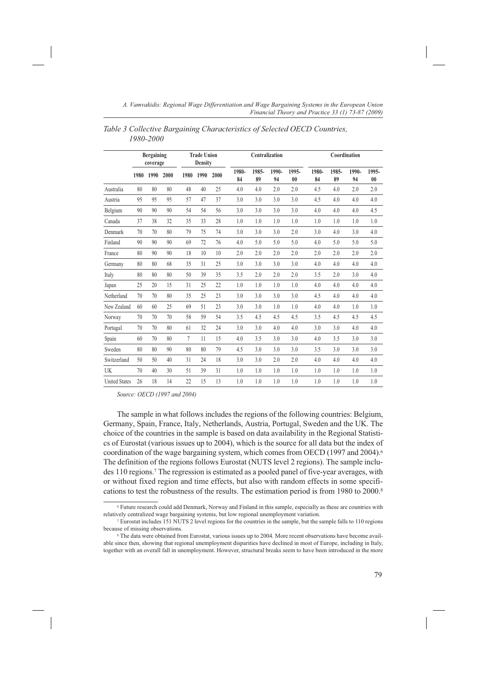|                      |      | <b>Bergaining</b><br>coverage |      |                | <b>Trade Union</b><br><b>Density</b> |      | Centralization |             | Coordination |             |             |             |             |             |
|----------------------|------|-------------------------------|------|----------------|--------------------------------------|------|----------------|-------------|--------------|-------------|-------------|-------------|-------------|-------------|
|                      | 1980 | 1990                          | 2000 | 1980           | 1990                                 | 2000 | 1980-<br>84    | 1985-<br>89 | 1990-<br>94  | 1995-<br>00 | 1980-<br>84 | 1985-<br>89 | 1990-<br>94 | 1995-<br>00 |
| Australia            | 80   | 80                            | 80   | 48             | 40                                   | 25   | 4.0            | 4.0         | 2.0          | 2.0         | 4.5         | 4.0         | 2.0         | 2.0         |
| Austria              | 95   | 95                            | 95   | 57             | 47                                   | 37   | 3.0            | 3.0         | 3.0          | 3.0         | 4.5         | 4.0         | 4.0         | 4.0         |
| Belgium              | 90   | 90                            | 90   | 54             | 54                                   | 56   | 3.0            | 3.0         | 3.0          | 3.0         | 4.0         | 4.0         | 4.0         | 4.5         |
| Canada               | 37   | 38                            | 32   | 35             | 33                                   | 28   | 1.0            | 1.0         | 1.0          | 1.0         | 1.0         | 1.0         | 1.0         | 1.0         |
| Denmark              | 70   | 70                            | 80   | 79             | 75                                   | 74   | 3.0            | 3.0         | 3.0          | 2.0         | 3.0         | 4.0         | 3.0         | 4.0         |
| Finland              | 90   | 90                            | 90   | 69             | 72                                   | 76   | 4.0            | 5.0         | 5.0          | 5.0         | 4.0         | 5.0         | 5.0         | 5.0         |
| France               | 80   | 90                            | 90   | 18             | 10                                   | 10   | 2.0            | 2.0         | 2.0          | 2.0         | 2.0         | 2.0         | 2.0         | 2.0         |
| Germany              | 80   | 80                            | 68   | 35             | 31                                   | 25   | 3.0            | 3.0         | 3.0          | 3.0         | 4.0         | 4.0         | 4.0         | 4.0         |
| Italy                | 80   | 80                            | 80   | 50             | 39                                   | 35   | 3.5            | 2.0         | 2.0          | 2.0         | 3.5         | 2.0         | 3.0         | 4.0         |
| Japan                | 25   | 20                            | 15   | 31             | 25                                   | 22   | 1.0            | 1.0         | 1.0          | 1.0         | 4.0         | 4.0         | 4.0         | 4.0         |
| Netherland           | 70   | 70                            | 80   | 35             | 25                                   | 23   | 3.0            | 3.0         | 3.0          | 3.0         | 4.5         | 4.0         | 4.0         | 4.0         |
| New Zealand          | 60   | 60                            | 25   | 69             | 51                                   | 23   | 3.0            | 3.0         | 1.0          | 1.0         | 4.0         | 4.0         | 1.0         | 1.0         |
| Norway               | 70   | 70                            | 70   | 58             | 59                                   | 54   | 3.5            | 4.5         | 4.5          | 4.5         | 3.5         | 4.5         | 4.5         | 4.5         |
| Portugal             | 70   | 70                            | 80   | 61             | 32                                   | 24   | 3.0            | 3.0         | 4.0          | 4.0         | 3.0         | 3.0         | 4.0         | 4.0         |
| Spain                | 60   | 70                            | 80   | $\overline{7}$ | 11                                   | 15   | 4.0            | 3.5         | 3.0          | 3.0         | 4.0         | 3.5         | 3.0         | 3.0         |
| Sweden               | 80   | 80                            | 90   | 80             | 80                                   | 79   | 4.5            | 3.0         | 3.0          | 3.0         | 3.5         | 3.0         | 3.0         | 3.0         |
| Switzerland          | 50   | 50                            | 40   | 31             | 24                                   | 18   | 3.0            | 3.0         | 2.0          | 2.0         | 4.0         | 4.0         | 4.0         | 4.0         |
| UK                   | 70   | 40                            | 30   | 51             | 39                                   | 31   | 1.0            | 1.0         | 1.0          | 1.0         | 1.0         | 1.0         | 1.0         | 1.0         |
| <b>United States</b> | 26   | 18                            | 14   | 22             | 15                                   | 13   | 1.0            | 1.0         | 1.0          | 1.0         | 1.0         | 1.0         | 1.0         | 1.0         |

*Table 3 Collective Bargaining Characteristics of Selected OECD Countries, 1980-2000*

*Source: OECD (1997 and 2004)*

The sample in what follows includes the regions of the following countries: Belgium, Germany, Spain, France, Italy, Netherlands, Austria, Portugal, Sweden and the UK. The choice of the countries in the sample is based on data availability in the Regional Statistics of Eurostat (various issues up to 2004), which is the source for all data but the index of coordination of the wage bargaining system, which comes from OECD (1997 and 2004).<sup>6</sup> The definition of the regions follows Eurostat (NUTS level 2 regions). The sample includes 110 regions.7 The regression is estimated as a pooled panel of five-year averages, with or without fixed region and time effects, but also with random effects in some specifications to test the robustness of the results. The estimation period is from 1980 to 2000.8

<sup>&</sup>lt;sup>6</sup> Future research could add Denmark, Norway and Finland in this sample, especially as these are countries with relatively centralized wage bargaining systems, but low regional unemployment variation.

<sup>&</sup>lt;sup>7</sup> Eurostat includes 151 NUTS 2 level regions for the countries in the sample, but the sample falls to 110 regions because of missing observations.

<sup>8</sup> The data were obtained from Eurostat, various issues up to 2004. More recent observations have become available since then, showing that regional unemployment disparities have declined in most of Europe, including in Italy, together with an overall fall in unemployment. However, structural breaks seem to have been introduced in the more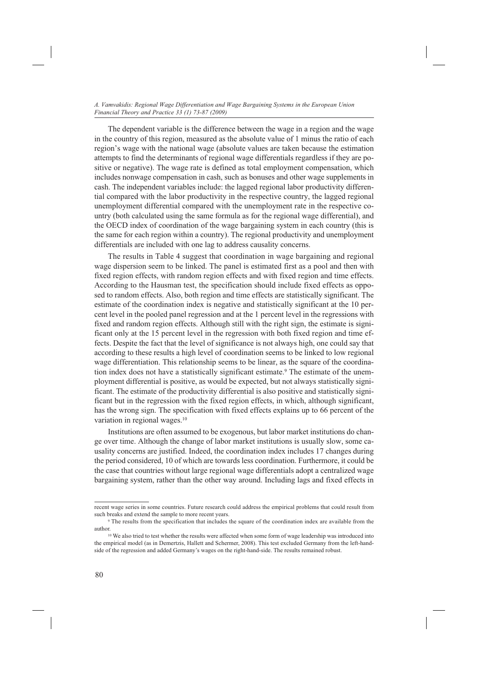The dependent variable is the difference between the wage in a region and the wage in the country of this region, measured as the absolute value of 1 minus the ratio of each region's wage with the national wage (absolute values are taken because the estimation attempts to find the determinants of regional wage differentials regardless if they are positive or negative). The wage rate is defined as total employment compensation, which includes nonwage compensation in cash, such as bonuses and other wage supplements in cash. The independent variables include: the lagged regional labor productivity differential compared with the labor productivity in the respective country, the lagged regional unemployment differential compared with the unemployment rate in the respective country (both calculated using the same formula as for the regional wage differential), and the OECD index of coordination of the wage bargaining system in each country (this is the same for each region within a country). The regional productivity and unemployment differentials are included with one lag to address causality concerns.

The results in Table 4 suggest that coordination in wage bargaining and regional wage dispersion seem to be linked. The panel is estimated first as a pool and then with fixed region effects, with random region effects and with fixed region and time effects. According to the Hausman test, the specification should include fixed effects as opposed to random effects. Also, both region and time effects are statistically significant. The estimate of the coordination index is negative and statistically significant at the 10 percent level in the pooled panel regression and at the 1 percent level in the regressions with fixed and random region effects. Although still with the right sign, the estimate is significant only at the 15 percent level in the regression with both fixed region and time effects. Despite the fact that the level of significance is not always high, one could say that according to these results a high level of coordination seems to be linked to low regional wage differentiation. This relationship seems to be linear, as the square of the coordination index does not have a statistically significant estimate.<sup>9</sup> The estimate of the unemployment differential is positive, as would be expected, but not always statistically significant. The estimate of the productivity differential is also positive and statistically significant but in the regression with the fixed region effects, in which, although significant, has the wrong sign. The specification with fixed effects explains up to 66 percent of the variation in regional wages.10

Institutions are often assumed to be exogenous, but labor market institutions do change over time. Although the change of labor market institutions is usually slow, some causality concerns are justified. Indeed, the coordination index includes 17 changes during the period considered, 10 of which are towards less coordination. Furthermore, it could be the case that countries without large regional wage differentials adopt a centralized wage bargaining system, rather than the other way around. Including lags and fixed effects in

recent wage series in some countries. Future research could address the empirical problems that could result from such breaks and extend the sample to more recent years. <sup>9</sup> The results from the specification that includes the square of the coordination index are available from the

author. 10 We also tried to test whether the results were affected when some form of wage leadership was introduced into

the empirical model (as in Demertzis, Hallett and Schermer, 2008). This test excluded Germany from the left-handside of the regression and added Germany's wages on the right-hand-side. The results remained robust.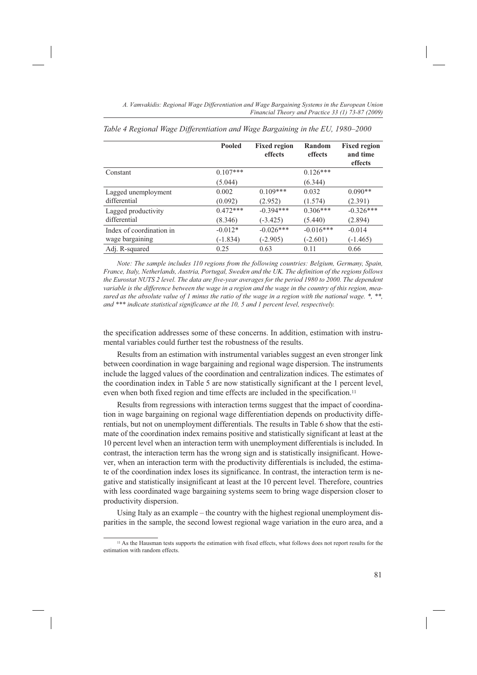|                          | <b>Pooled</b> | <b>Fixed region</b><br>effects | Random<br>effects | <b>Fixed region</b><br>and time<br>effects |
|--------------------------|---------------|--------------------------------|-------------------|--------------------------------------------|
| Constant                 | $0.107***$    |                                | $0.126***$        |                                            |
|                          | (5.044)       |                                | (6.344)           |                                            |
| Lagged unemployment      | 0.002         | $0.109***$                     | 0.032             | $0.090**$                                  |
| differential             | (0.092)       | (2.952)                        | (1.574)           | (2.391)                                    |
| Lagged productivity      | $0.472***$    | $-0.394***$                    | $0.306***$        | $-0.326***$                                |
| differential             | (8.346)       | $(-3.425)$                     | (5.440)           | (2.894)                                    |
| Index of coordination in | $-0.012*$     | $-0.026***$                    | $-0.016***$       | $-0.014$                                   |
| wage bargaining          | $(-1.834)$    | $(-2.905)$                     | $(-2.601)$        | $(-1.465)$                                 |
| Adj. R-squared           | 0.25          | 0.63                           | 0.11              | 0.66                                       |

*Table 4 Regional Wage Differentiation and Wage Bargaining in the EU, 1980–2000*

*Note: The sample includes 110 regions from the following countries: Belgium, Germany, Spain, France, Italy, Netherlands, Austria, Portugal, Sweden and the UK. The definition of the regions follows the Eurostat NUTS 2 level. The data are five-year averages for the period 1980 to 2000. The dependent variable is the difference between the wage in a region and the wage in the country of this region, measured as the absolute value of 1 minus the ratio of the wage in a region with the national wage. \*, \*\*, and \*\*\* indicate statistical significance at the 10, 5 and 1 percent level, respectively.*

the specification addresses some of these concerns. In addition, estimation with instrumental variables could further test the robustness of the results.

Results from an estimation with instrumental variables suggest an even stronger link between coordination in wage bargaining and regional wage dispersion. The instruments include the lagged values of the coordination and centralization indices. The estimates of the coordination index in Table 5 are now statistically significant at the 1 percent level, even when both fixed region and time effects are included in the specification.<sup>11</sup>

Results from regressions with interaction terms suggest that the impact of coordination in wage bargaining on regional wage differentiation depends on productivity differentials, but not on unemployment differentials. The results in Table 6 show that the estimate of the coordination index remains positive and statistically significant at least at the 10 percent level when an interaction term with unemployment differentials is included. In contrast, the interaction term has the wrong sign and is statistically insignificant. However, when an interaction term with the productivity differentials is included, the estimate of the coordination index loses its significance. In contrast, the interaction term is negative and statistically insignificant at least at the 10 percent level. Therefore, countries with less coordinated wage bargaining systems seem to bring wage dispersion closer to productivity dispersion.

Using Italy as an example – the country with the highest regional unemployment disparities in the sample, the second lowest regional wage variation in the euro area, and a

<sup>11</sup> As the Hausman tests supports the estimation with fixed effects, what follows does not report results for the estimation with random effects.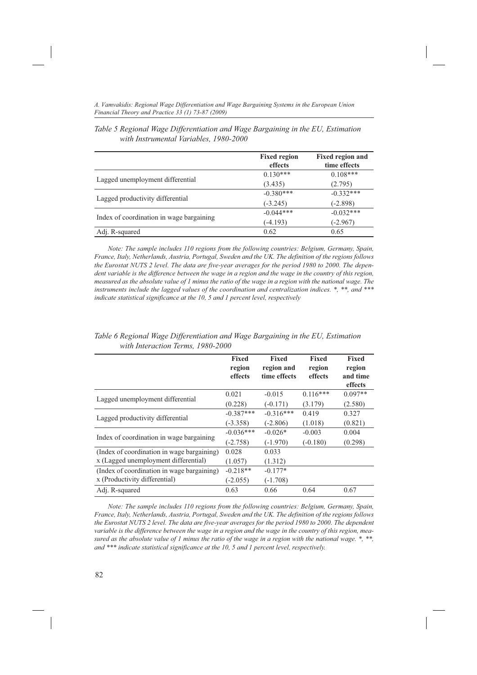|                                          | <b>Fixed region</b><br>effects | <b>Fixed region and</b><br>time effects |
|------------------------------------------|--------------------------------|-----------------------------------------|
|                                          | $0.130***$                     | $0.108***$                              |
| Lagged unemployment differential         | (3.435)                        | (2.795)                                 |
|                                          | $-0.380***$                    | $-0.332***$                             |
| Lagged productivity differential         | $(-3.245)$                     | $(-2.898)$                              |
|                                          | $-0.044***$                    | $-0.032***$                             |
| Index of coordination in wage bargaining | $(-4.193)$                     | $(-2.967)$                              |
| Adj. R-squared                           | 0.62                           | 0.65                                    |

*Table 5 Regional Wage Differentiation and Wage Bargaining in the EU, Estimation with Instrumental Variables, 1980-2000*

*Note: The sample includes 110 regions from the following countries: Belgium, Germany, Spain, France, Italy, Netherlands, Austria, Portugal, Sweden and the UK. The definition of the regions follows the Eurostat NUTS 2 level. The data are five-year averages for the period 1980 to 2000. The depen*dent variable is the difference between the wage in a region and the wage in the country of this region, *measured as the absolute value of 1 minus the ratio of the wage in a region with the national wage. The instruments include the lagged values of the coordination and centralization indices. \*, \*\*, and \*\*\* indicate statistical significance at the 10, 5 and 1 percent level, respectively*

|                                            | <b>Fixed</b><br>region<br>effects | <b>Fixed</b><br>region and<br>time effects | <b>Fixed</b><br>region<br>effects | <b>Fixed</b><br>region<br>and time<br>effects |
|--------------------------------------------|-----------------------------------|--------------------------------------------|-----------------------------------|-----------------------------------------------|
| Lagged unemployment differential           | 0.021                             | $-0.015$                                   | $0.116***$                        | $0.097**$                                     |
|                                            | (0.228)                           | $(-0.171)$                                 | (3.179)                           | (2.580)                                       |
| Lagged productivity differential           | $-0.387***$                       | $-0.316***$                                | 0.419                             | 0.327                                         |
|                                            | $(-3.358)$                        | $(-2.806)$                                 | (1.018)                           | (0.821)                                       |
| Index of coordination in wage bargaining   | $-0.036***$                       | $-0.026*$                                  | $-0.003$                          | 0.004                                         |
|                                            | $(-2.758)$                        | $(-1.970)$                                 | $(-0.180)$                        | (0.298)                                       |
| (Index of coordination in wage bargaining) | 0.028                             | 0.033                                      |                                   |                                               |
| x (Lagged unemployment differential)       | (1.057)                           | (1.312)                                    |                                   |                                               |
| (Index of coordination in wage bargaining) | $-0.218**$                        | $-0.177*$                                  |                                   |                                               |
| x (Productivity differential)              | $(-2.055)$                        | $(-1.708)$                                 |                                   |                                               |
| Adj. R-squared                             | 0.63                              | 0.66                                       | 0.64                              | 0.67                                          |

*Table 6 Regional Wage Differentiation and Wage Bargaining in the EU, Estimation with Interaction Terms, 1980-2000*

*Note: The sample includes 110 regions from the following countries: Belgium, Germany, Spain, France, Italy, Netherlands, Austria, Portugal, Sweden and the UK. The definition of the regions follows the Eurostat NUTS 2 level. The data are five-year averages for the period 1980 to 2000. The dependent variable is the difference between the wage in a region and the wage in the country of this region, measured as the absolute value of 1 minus the ratio of the wage in a region with the national wage. \*, \*\*, and \*\*\* indicate statistical significance at the 10, 5 and 1 percent level, respectively.*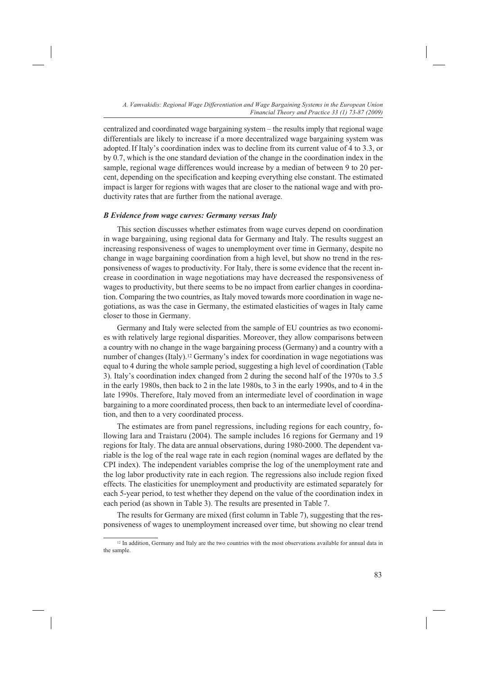centralized and coordinated wage bargaining system – the results imply that regional wage differentials are likely to increase if a more decentralized wage bargaining system was adopted.If Italy's coordination index was to decline from its current value of 4 to 3.3, or by 0.7, which is the one standard deviation of the change in the coordination index in the sample, regional wage differences would increase by a median of between 9 to 20 percent, depending on the specification and keeping everything else constant. The estimated impact is larger for regions with wages that are closer to the national wage and with productivity rates that are further from the national average.

#### *B Evidence from wage curves: Germany versus Italy*

This section discusses whether estimates from wage curves depend on coordination in wage bargaining, using regional data for Germany and Italy. The results suggest an increasing responsiveness of wages to unemployment over time in Germany, despite no change in wage bargaining coordination from a high level, but show no trend in the responsiveness of wages to productivity. For Italy, there is some evidence that the recent increase in coordination in wage negotiations may have decreased the responsiveness of wages to productivity, but there seems to be no impact from earlier changes in coordination. Comparing the two countries, as Italy moved towards more coordination in wage negotiations, as was the case in Germany, the estimated elasticities of wages in Italy came closer to those in Germany.

Germany and Italy were selected from the sample of EU countries as two economies with relatively large regional disparities. Moreover, they allow comparisons between a country with no change in the wage bargaining process (Germany) and a country with a number of changes (Italy).12 Germany's index for coordination in wage negotiations was equal to 4 during the whole sample period, suggesting a high level of coordination (Table 3). Italy's coordination index changed from 2 during the second half of the 1970s to 3.5 in the early 1980s, then back to 2 in the late 1980s, to 3 in the early 1990s, and to 4 in the late 1990s. Therefore, Italy moved from an intermediate level of coordination in wage bargaining to a more coordinated process, then back to an intermediate level of coordination, and then to a very coordinated process.

The estimates are from panel regressions, including regions for each country, following Iara and Traistaru (2004). The sample includes 16 regions for Germany and 19 regions for Italy. The data are annual observations, during 1980-2000. The dependent variable is the log of the real wage rate in each region (nominal wages are deflated by the CPI index). The independent variables comprise the log of the unemployment rate and the log labor productivity rate in each region. The regressions also include region fixed effects. The elasticities for unemployment and productivity are estimated separately for each 5-year period, to test whether they depend on the value of the coordination index in each period (as shown in Table 3). The results are presented in Table 7.

The results for Germany are mixed (first column in Table 7), suggesting that the responsiveness of wages to unemployment increased over time, but showing no clear trend

<sup>&</sup>lt;sup>12</sup> In addition, Germany and Italy are the two countries with the most observations available for annual data in the sample.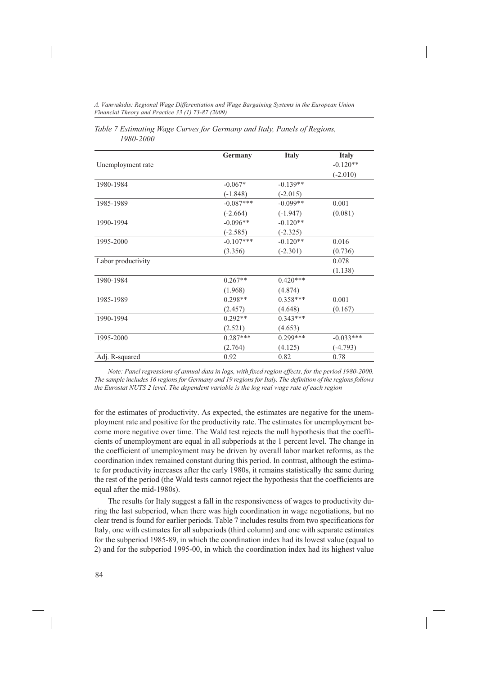*A. Vamvakidis: Regional Wage Differentiation and Wage Bargaining Systems in the European Union Financial Theory and Practice 33 (1) 73-87 (2009)*

|                    | Germany     | <b>Italy</b> | <b>Italy</b> |
|--------------------|-------------|--------------|--------------|
| Unemployment rate  |             |              | $-0.120**$   |
|                    |             |              | $(-2.010)$   |
| 1980-1984          | $-0.067*$   | $-0.139**$   |              |
|                    | $(-1.848)$  | $(-2.015)$   |              |
| 1985-1989          | $-0.087***$ | $-0.099**$   | 0.001        |
|                    | $(-2.664)$  | $(-1.947)$   | (0.081)      |
| 1990-1994          | $-0.096**$  | $-0.120**$   |              |
|                    | $(-2.585)$  | $(-2.325)$   |              |
| 1995-2000          | $-0.107***$ | $-0.120**$   | 0.016        |
|                    | (3.356)     | $(-2.301)$   | (0.736)      |
| Labor productivity |             |              | 0.078        |
|                    |             |              | (1.138)      |
| 1980-1984          | $0.267**$   | $0.420***$   |              |
|                    | (1.968)     | (4.874)      |              |
| 1985-1989          | $0.298**$   | $0.358***$   | 0.001        |
|                    | (2.457)     | (4.648)      | (0.167)      |
| 1990-1994          | $0.292**$   | $0.343***$   |              |
|                    | (2.521)     | (4.653)      |              |
| 1995-2000          | $0.287***$  | $0.299***$   | $-0.033***$  |
|                    | (2.764)     | (4.125)      | $(-4.793)$   |
| Adj. R-squared     | 0.92        | 0.82         | 0.78         |

| Table 7 Estimating Wage Curves for Germany and Italy, Panels of Regions, |  |  |
|--------------------------------------------------------------------------|--|--|
| 1980-2000                                                                |  |  |

*Note: Panel regressions of annual data in logs, with fixed region effects, for the period 1980-2000. The sample includes 16 regions for Germany and 19 regions for Italy. The definition of the regions follows the Eurostat NUTS 2 level. The dependent variable is the log real wage rate of each region*

for the estimates of productivity. As expected, the estimates are negative for the unemployment rate and positive for the productivity rate. The estimates for unemployment become more negative over time. The Wald test rejects the null hypothesis that the coefficients of unemployment are equal in all subperiods at the 1 percent level. The change in the coefficient of unemployment may be driven by overall labor market reforms, as the coordination index remained constant during this period. In contrast, although the estimate for productivity increases after the early 1980s, it remains statistically the same during the rest of the period (the Wald tests cannot reject the hypothesis that the coefficients are equal after the mid-1980s).

The results for Italy suggest a fall in the responsiveness of wages to productivity during the last subperiod, when there was high coordination in wage negotiations, but no clear trend is found for earlier periods. Table 7 includes results from two specifications for Italy, one with estimates for all subperiods (third column) and one with separate estimates for the subperiod 1985-89, in which the coordination index had its lowest value (equal to 2) and for the subperiod 1995-00, in which the coordination index had its highest value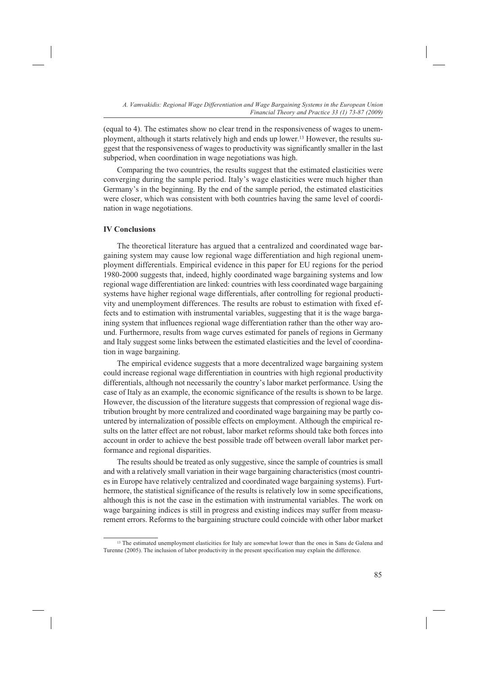(equal to 4). The estimates show no clear trend in the responsiveness of wages to unemployment, although it starts relatively high and ends up lower.13 However, the results suggest that the responsiveness of wages to productivity was significantly smaller in the last subperiod, when coordination in wage negotiations was high.

Comparing the two countries, the results suggest that the estimated elasticities were converging during the sample period. Italy's wage elasticities were much higher than Germany's in the beginning. By the end of the sample period, the estimated elasticities were closer, which was consistent with both countries having the same level of coordination in wage negotiations.

## **IV Conclusions**

The theoretical literature has argued that a centralized and coordinated wage bargaining system may cause low regional wage differentiation and high regional unemployment differentials. Empirical evidence in this paper for EU regions for the period 1980-2000 suggests that, indeed, highly coordinated wage bargaining systems and low regional wage differentiation are linked: countries with less coordinated wage bargaining systems have higher regional wage differentials, after controlling for regional productivity and unemployment differences. The results are robust to estimation with fixed effects and to estimation with instrumental variables, suggesting that it is the wage bargaining system that influences regional wage differentiation rather than the other way around. Furthermore, results from wage curves estimated for panels of regions in Germany and Italy suggest some links between the estimated elasticities and the level of coordination in wage bargaining.

The empirical evidence suggests that a more decentralized wage bargaining system could increase regional wage differentiation in countries with high regional productivity differentials, although not necessarily the country's labor market performance. Using the case of Italy as an example, the economic significance of the results is shown to be large. However, the discussion of the literature suggests that compression of regional wage distribution brought by more centralized and coordinated wage bargaining may be partly countered by internalization of possible effects on employment. Although the empirical results on the latter effect are not robust, labor market reforms should take both forces into account in order to achieve the best possible trade off between overall labor market performance and regional disparities.

The results should be treated as only suggestive, since the sample of countries is small and with a relatively small variation in their wage bargaining characteristics (most countries in Europe have relatively centralized and coordinated wage bargaining systems). Furthermore, the statistical significance of the results is relatively low in some specifications, although this is not the case in the estimation with instrumental variables. The work on wage bargaining indices is still in progress and existing indices may suffer from measurement errors. Reforms to the bargaining structure could coincide with other labor market

<sup>&</sup>lt;sup>13</sup> The estimated unemployment elasticities for Italy are somewhat lower than the ones in Sans de Galena and Turenne (2005). The inclusion of labor productivity in the present specification may explain the difference.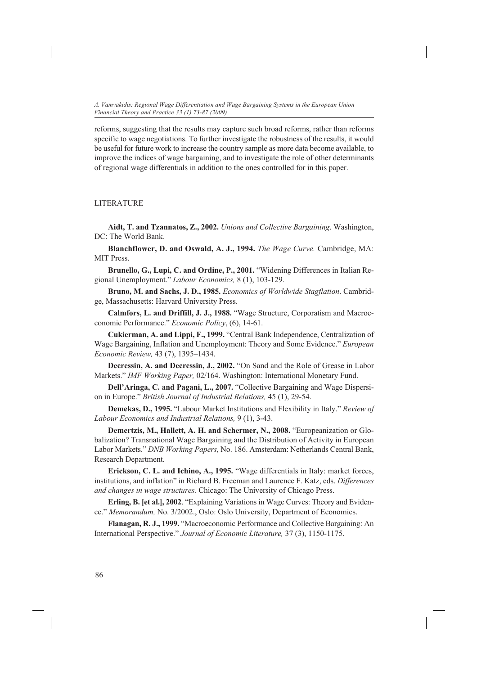reforms, suggesting that the results may capture such broad reforms, rather than reforms specific to wage negotiations. To further investigate the robustness of the results, it would be useful for future work to increase the country sample as more data become available, to improve the indices of wage bargaining, and to investigate the role of other determinants of regional wage differentials in addition to the ones controlled for in this paper.

## LITERATURE

**Aidt, T. and Tzannatos, Z., 2002.** *Unions and Collective Bargaining*. Washington, DC: The World Bank.

**Blanchflower, D. and Oswald, A. J., 1994.** *The Wage Curve.* Cambridge, MA: MIT Press.

**Brunello, G., Lupi, C. and Ordine, P., 2001.** "Widening Differences in Italian Regional Unemployment." *Labour Economics,* 8 (1), 103-129.

**Bruno, M. and Sachs, J. D., 1985.** *Economics of Worldwide Stagflation*. Cambridge, Massachusetts: Harvard University Press.

**Calmfors, L. and Driffill, J. J., 1988.** "Wage Structure, Corporatism and Macroeconomic Performance." *Economic Policy*, (6), 14-61.

**Cukierman, A. and Lippi, F., 1999.** "Central Bank Independence, Centralization of Wage Bargaining, Inflation and Unemployment: Theory and Some Evidence." *European Economic Review,* 43 (7), 1395–1434.

**Decressin, A. and Decressin, J., 2002.** "On Sand and the Role of Grease in Labor Markets." *IMF Working Paper,* 02/164. Washington: International Monetary Fund.

**Dell'Aringa, C. and Pagani, L., 2007.** "Collective Bargaining and Wage Dispersion in Europe." *British Journal of Industrial Relations,* 45 (1), 29-54.

**Demekas, D., 1995.** "Labour Market Institutions and Flexibility in Italy." *Review of Labour Economics and Industrial Relations,* 9 (1), 3-43.

**Demertzis, M., Hallett, A. H. and Schermer, N., 2008.** "Europeanization or Globalization? Transnational Wage Bargaining and the Distribution of Activity in European Labor Markets." *DNB Working Papers,* No. 186. Amsterdam: Netherlands Central Bank, Research Department.

**Erickson, C. L. and Ichino, A., 1995.** "Wage differentials in Italy: market forces, institutions, and inflation" in Richard B. Freeman and Laurence F. Katz, eds. *Differences and changes in wage structures.* Chicago: The University of Chicago Press.

**Erling, B. [et al.], 2002**. "Explaining Variations in Wage Curves: Theory and Evidence." *Memorandum,* No. 3/2002., Oslo: Oslo University, Department of Economics.

**Flanagan, R. J., 1999.** "Macroeconomic Performance and Collective Bargaining: An International Perspective." *Journal of Economic Literature,* 37 (3), 1150-1175.